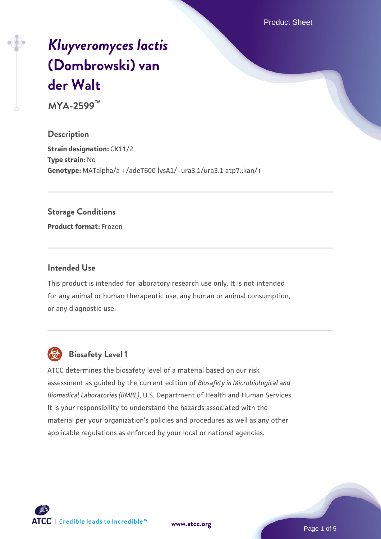Product Sheet

# *[Kluyveromyces lactis](https://www.atcc.org/products/mya-2599)* **[\(Dombrowski\) van](https://www.atcc.org/products/mya-2599) [der Walt](https://www.atcc.org/products/mya-2599)**

**MYA-2599™**

**Description Strain designation: CK11/2 Type strain:** No **Genotype:** MATalpha/a +/adeT600 lysA1/+ura3.1/ura3.1 atp7::kan/+

#### **Storage Conditions**

**Product format:** Frozen

#### **Intended Use**

This product is intended for laboratory research use only. It is not intended for any animal or human therapeutic use, any human or animal consumption, or any diagnostic use.



## **Biosafety Level 1**

ATCC determines the biosafety level of a material based on our risk assessment as guided by the current edition of *Biosafety in Microbiological and Biomedical Laboratories (BMBL)*, U.S. Department of Health and Human Services. It is your responsibility to understand the hazards associated with the material per your organization's policies and procedures as well as any other applicable regulations as enforced by your local or national agencies.

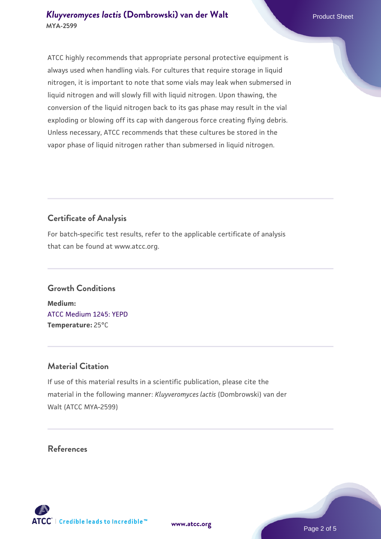ATCC highly recommends that appropriate personal protective equipment is always used when handling vials. For cultures that require storage in liquid nitrogen, it is important to note that some vials may leak when submersed in liquid nitrogen and will slowly fill with liquid nitrogen. Upon thawing, the conversion of the liquid nitrogen back to its gas phase may result in the vial exploding or blowing off its cap with dangerous force creating flying debris. Unless necessary, ATCC recommends that these cultures be stored in the vapor phase of liquid nitrogen rather than submersed in liquid nitrogen.

# **Certificate of Analysis**

For batch-specific test results, refer to the applicable certificate of analysis that can be found at www.atcc.org.

## **Growth Conditions**

**Medium:**  [ATCC Medium 1245: YEPD](https://www.atcc.org/-/media/product-assets/documents/microbial-media-formulations/1/2/4/5/atcc-medium-1245.pdf?rev=705ca55d1b6f490a808a965d5c072196) **Temperature:** 25°C

## **Material Citation**

If use of this material results in a scientific publication, please cite the material in the following manner: *Kluyveromyces lactis* (Dombrowski) van der Walt (ATCC MYA-2599)

## **References**

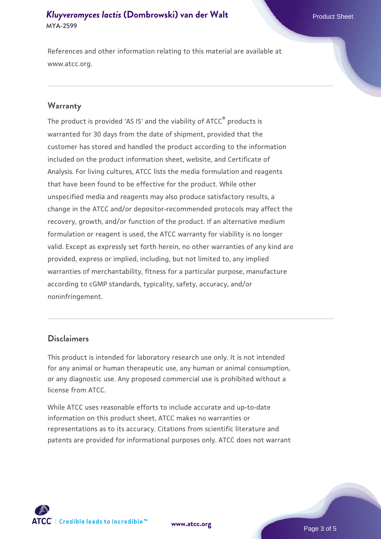#### *[Kluyveromyces lactis](https://www.atcc.org/products/mya-2599)* **[\(Dombrowski\) van der Walt](https://www.atcc.org/products/mya-2599)** Product Sheet **MYA-2599**

References and other information relating to this material are available at www.atcc.org.

#### **Warranty**

The product is provided 'AS IS' and the viability of ATCC® products is warranted for 30 days from the date of shipment, provided that the customer has stored and handled the product according to the information included on the product information sheet, website, and Certificate of Analysis. For living cultures, ATCC lists the media formulation and reagents that have been found to be effective for the product. While other unspecified media and reagents may also produce satisfactory results, a change in the ATCC and/or depositor-recommended protocols may affect the recovery, growth, and/or function of the product. If an alternative medium formulation or reagent is used, the ATCC warranty for viability is no longer valid. Except as expressly set forth herein, no other warranties of any kind are provided, express or implied, including, but not limited to, any implied warranties of merchantability, fitness for a particular purpose, manufacture according to cGMP standards, typicality, safety, accuracy, and/or noninfringement.

#### **Disclaimers**

This product is intended for laboratory research use only. It is not intended for any animal or human therapeutic use, any human or animal consumption, or any diagnostic use. Any proposed commercial use is prohibited without a license from ATCC.

While ATCC uses reasonable efforts to include accurate and up-to-date information on this product sheet, ATCC makes no warranties or representations as to its accuracy. Citations from scientific literature and patents are provided for informational purposes only. ATCC does not warrant



**[www.atcc.org](http://www.atcc.org)**

Page 3 of 5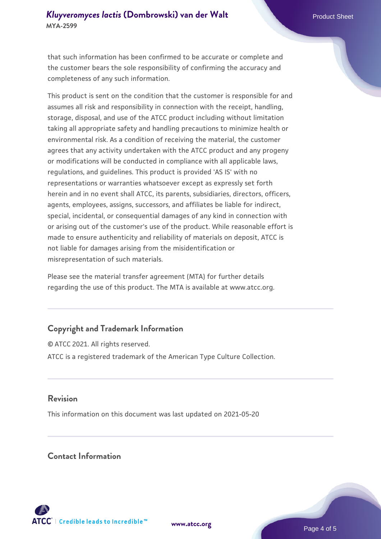#### *[Kluyveromyces lactis](https://www.atcc.org/products/mya-2599)* **[\(Dombrowski\) van der Walt](https://www.atcc.org/products/mya-2599)** Product Sheet **MYA-2599**

that such information has been confirmed to be accurate or complete and the customer bears the sole responsibility of confirming the accuracy and completeness of any such information.

This product is sent on the condition that the customer is responsible for and assumes all risk and responsibility in connection with the receipt, handling, storage, disposal, and use of the ATCC product including without limitation taking all appropriate safety and handling precautions to minimize health or environmental risk. As a condition of receiving the material, the customer agrees that any activity undertaken with the ATCC product and any progeny or modifications will be conducted in compliance with all applicable laws, regulations, and guidelines. This product is provided 'AS IS' with no representations or warranties whatsoever except as expressly set forth herein and in no event shall ATCC, its parents, subsidiaries, directors, officers, agents, employees, assigns, successors, and affiliates be liable for indirect, special, incidental, or consequential damages of any kind in connection with or arising out of the customer's use of the product. While reasonable effort is made to ensure authenticity and reliability of materials on deposit, ATCC is not liable for damages arising from the misidentification or misrepresentation of such materials.

Please see the material transfer agreement (MTA) for further details regarding the use of this product. The MTA is available at www.atcc.org.

## **Copyright and Trademark Information**

© ATCC 2021. All rights reserved. ATCC is a registered trademark of the American Type Culture Collection.

#### **Revision**

This information on this document was last updated on 2021-05-20

#### **Contact Information**



**[www.atcc.org](http://www.atcc.org)**

Page 4 of 5